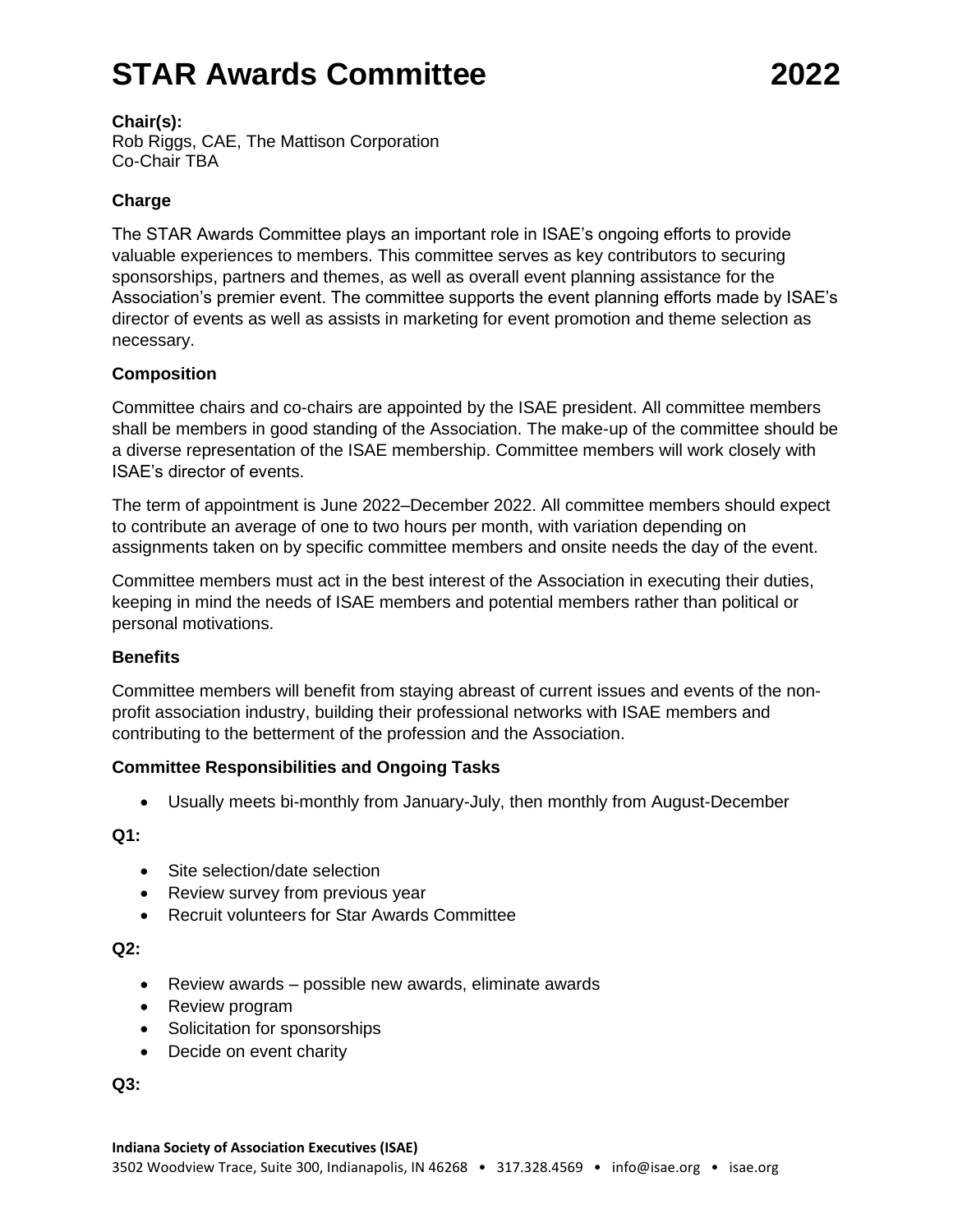# **STAR Awards Committee 2022**

## **Chair(s):**

Rob Riggs, CAE, The Mattison Corporation Co-Chair TBA

# **Charge**

The STAR Awards Committee plays an important role in ISAE's ongoing efforts to provide valuable experiences to members. This committee serves as key contributors to securing sponsorships, partners and themes, as well as overall event planning assistance for the Association's premier event. The committee supports the event planning efforts made by ISAE's director of events as well as assists in marketing for event promotion and theme selection as necessary.

## **Composition**

Committee chairs and co-chairs are appointed by the ISAE president. All committee members shall be members in good standing of the Association. The make-up of the committee should be a diverse representation of the ISAE membership. Committee members will work closely with ISAE's director of events.

The term of appointment is June 2022–December 2022. All committee members should expect to contribute an average of one to two hours per month, with variation depending on assignments taken on by specific committee members and onsite needs the day of the event.

Committee members must act in the best interest of the Association in executing their duties, keeping in mind the needs of ISAE members and potential members rather than political or personal motivations.

## **Benefits**

Committee members will benefit from staying abreast of current issues and events of the nonprofit association industry, building their professional networks with ISAE members and contributing to the betterment of the profession and the Association.

## **Committee Responsibilities and Ongoing Tasks**

• Usually meets bi-monthly from January-July, then monthly from August-December

**Q1:**

- Site selection/date selection
- Review survey from previous year
- Recruit volunteers for Star Awards Committee

**Q2:**

- Review awards possible new awards, eliminate awards
- Review program
- Solicitation for sponsorships
- Decide on event charity

**Q3:**